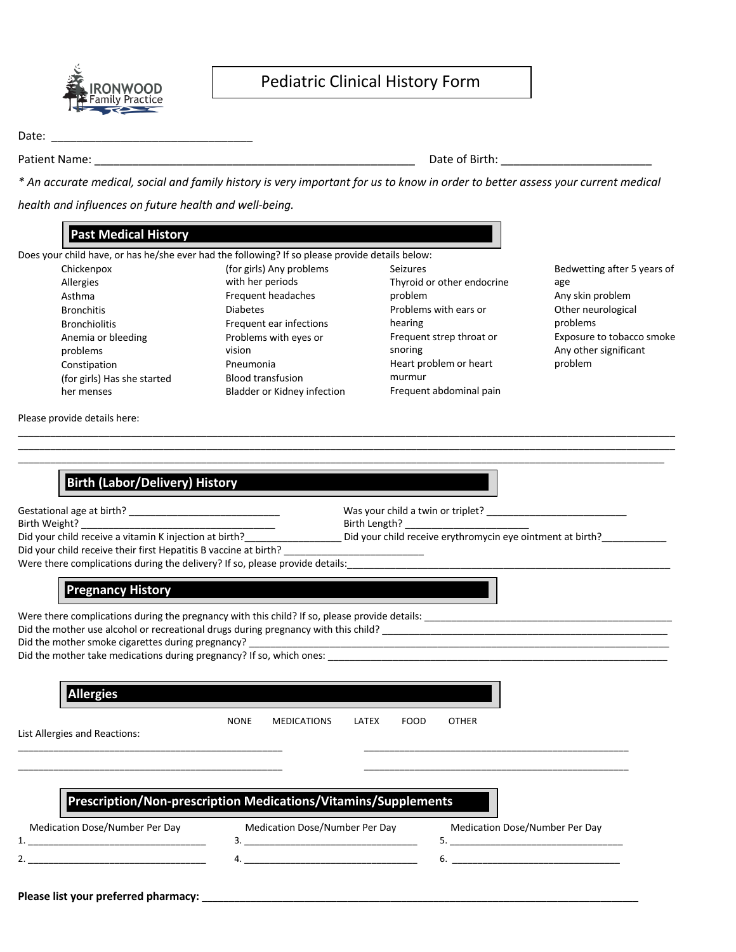

## Pediatric Clinical History Form

Date:

Patient Name: \_\_\_\_\_\_\_\_\_\_\_\_\_\_\_\_\_\_\_\_\_\_\_\_\_\_\_\_\_\_\_\_\_\_\_\_\_\_\_\_\_\_\_\_\_\_\_\_\_\_\_ Date of Birth: \_\_\_\_\_\_\_\_\_\_\_\_\_\_\_\_\_\_\_\_\_\_\_\_

*\* An accurate medical, social and family history is very important for us to know in order to better assess your current medical health and influences on future health and well-being.*

| <b>Past Medical History</b>                                                                                                                                                   |                                                                                                                                                                                                                             |                                                                                                                                                                                                    |                                                                                                                                                           |
|-------------------------------------------------------------------------------------------------------------------------------------------------------------------------------|-----------------------------------------------------------------------------------------------------------------------------------------------------------------------------------------------------------------------------|----------------------------------------------------------------------------------------------------------------------------------------------------------------------------------------------------|-----------------------------------------------------------------------------------------------------------------------------------------------------------|
| Does your child have, or has he/she ever had the following? If so please provide details below:                                                                               |                                                                                                                                                                                                                             |                                                                                                                                                                                                    |                                                                                                                                                           |
| Chickenpox<br>Allergies<br>Asthma<br><b>Bronchitis</b><br><b>Bronchiolitis</b><br>Anemia or bleeding<br>problems<br>Constipation<br>(for girls) Has she started<br>her menses | (for girls) Any problems<br>with her periods<br>Frequent headaches<br><b>Diabetes</b><br>Frequent ear infections<br>Problems with eyes or<br>vision<br>Pneumonia<br><b>Blood transfusion</b><br>Bladder or Kidney infection | <b>Seizures</b><br>Thyroid or other endocrine<br>problem<br>Problems with ears or<br>hearing<br>Frequent strep throat or<br>snoring<br>Heart problem or heart<br>murmur<br>Frequent abdominal pain | Bedwetting after 5 years of<br>age<br>Any skin problem<br>Other neurological<br>problems<br>Exposure to tobacco smoke<br>Any other significant<br>problem |
| Please provide details here:                                                                                                                                                  |                                                                                                                                                                                                                             |                                                                                                                                                                                                    |                                                                                                                                                           |
| <b>Birth (Labor/Delivery) History</b><br>Gestational age at birth?<br>Birth Weight?                                                                                           |                                                                                                                                                                                                                             | Was your child a twin or triplet?<br>Birth Length?                                                                                                                                                 |                                                                                                                                                           |

Did your child receive a vitamin K injection at birth?\_\_\_\_\_\_\_\_\_\_\_\_\_\_\_\_\_\_ Did your child receive erythromycin eye ointment at birth?\_\_\_\_\_\_\_\_\_\_\_\_

Did your child receive their first Hepatitis B vaccine at birth? Were there complications during the delivery? If so, please provide details:

**Pregnancy History** 

Were there complications during the pregnancy with this child? If so, please provide details: \_\_\_\_\_\_\_\_\_\_\_\_\_\_\_\_\_\_\_\_\_\_\_\_\_\_\_\_\_\_\_\_\_\_\_\_\_\_\_\_\_\_\_\_\_\_ Did the mother use alcohol or recreational drugs during pregnancy with this child? \_\_\_\_\_\_\_\_\_\_\_\_\_\_\_\_\_\_\_\_\_\_\_\_\_\_\_\_\_\_\_\_\_\_\_\_\_\_\_\_\_\_\_\_\_\_\_\_\_\_\_\_\_ Did the mother smoke cigarettes during pregnancy? \_\_ Did the mother take medications during pregnancy? If so, which ones: NONE MEDICATIONS LATEX FOOD OTHER List Allergies and Reactions: \_\_\_\_\_\_\_\_\_\_\_\_\_\_\_\_\_\_\_\_\_\_\_\_\_\_\_\_\_\_\_\_\_\_\_\_\_\_\_\_\_\_\_\_\_\_\_\_\_\_\_\_ \_\_\_\_\_\_\_\_\_\_\_\_\_\_\_\_\_\_\_\_\_\_\_\_\_\_\_\_\_\_\_\_\_\_\_\_\_\_\_\_\_\_\_\_\_\_\_\_\_\_\_\_ \_\_\_\_\_\_\_\_\_\_\_\_\_\_\_\_\_\_\_\_\_\_\_\_\_\_\_\_\_\_\_\_\_\_\_\_\_\_\_\_\_\_\_\_\_\_\_\_\_\_\_\_ \_\_\_\_\_\_\_\_\_\_\_\_\_\_\_\_\_\_\_\_\_\_\_\_\_\_\_\_\_\_\_\_\_\_\_\_\_\_\_\_\_\_\_\_\_\_\_\_\_\_\_\_ Medication Dose/Number Per Day Medication Dose/Number Per Day Medication Dose/Number Per Day 1. \_\_\_\_\_\_\_\_\_\_\_\_\_\_\_\_\_\_\_\_\_\_\_\_\_\_\_\_\_\_\_\_\_\_\_ 3. \_\_\_\_\_\_\_\_\_\_\_\_\_\_\_\_\_\_\_\_\_\_\_\_\_\_\_\_\_\_\_\_\_\_ 5. \_\_\_\_\_\_\_\_\_\_\_\_\_\_\_\_\_\_\_\_\_\_\_\_\_\_\_\_\_\_\_\_\_\_ 2. \_\_\_\_\_\_\_\_\_\_\_\_\_\_\_\_\_\_\_\_\_\_\_\_\_\_\_\_\_\_\_\_\_\_\_ 4. \_\_\_\_\_\_\_\_\_\_\_\_\_\_\_\_\_\_\_\_\_\_\_\_\_\_\_\_\_\_\_\_\_\_ 6. \_\_\_\_\_\_\_\_\_\_\_\_\_\_\_\_\_\_\_\_\_\_\_\_\_\_\_\_\_\_\_\_\_ **Allergies Prescription/Non-prescription Medications/Vitamins/Supplements**

**Please list your preferred pharmacy:** \_\_\_\_\_\_\_\_\_\_\_\_\_\_\_\_\_\_\_\_\_\_\_\_\_\_\_\_\_\_\_\_\_\_\_\_\_\_\_\_\_\_\_\_\_\_\_\_\_\_\_\_\_\_\_\_\_\_\_\_\_\_\_\_\_\_\_\_\_\_\_\_\_\_\_\_\_\_\_\_\_